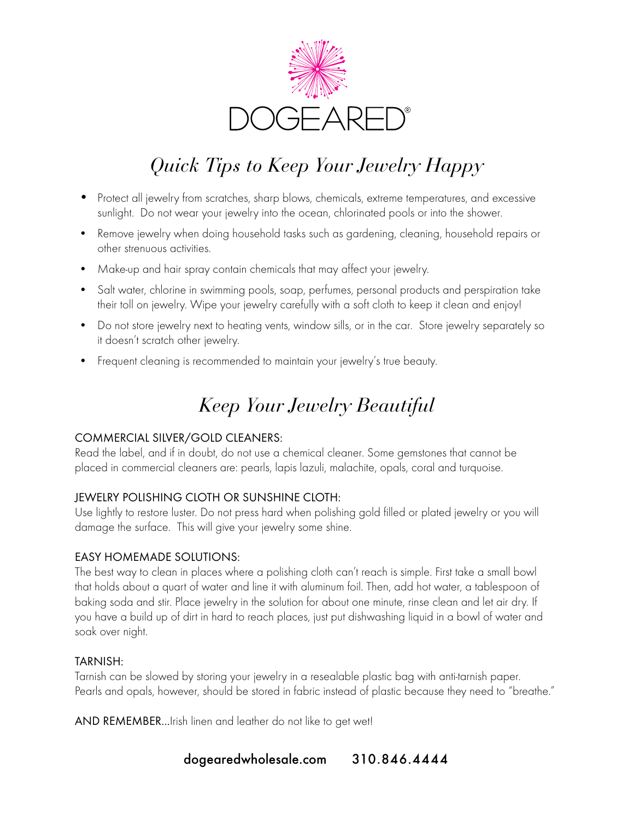

# *Quick Tips to Keep Your Jewelry Happy*

- Protect all jewelry from scratches, sharp blows, chemicals, extreme temperatures, and excessive sunlight. Do not wear your jewelry into the ocean, chlorinated pools or into the shower.
- Remove jewelry when doing household tasks such as gardening, cleaning, household repairs or other strenuous activities.
- Make-up and hair spray contain chemicals that may affect your jewelry.
- Salt water, chlorine in swimming pools, soap, perfumes, personal products and perspiration take their toll on jewelry. Wipe your jewelry carefully with a soft cloth to keep it clean and enjoy!
- Do not store jewelry next to heating vents, window sills, or in the car. Store jewelry separately so it doesn't scratch other jewelry.
- Frequent cleaning is recommended to maintain your jewelry's true beauty.

## *Keep Your Jewelry Beautiful*

### COMMERCIAL SILVER/GOLD CLEANERS:

Read the label, and if in doubt, do not use a chemical cleaner. Some gemstones that cannot be placed in commercial cleaners are: pearls, lapis lazuli, malachite, opals, coral and turquoise.

### JEWELRY POLISHING CLOTH OR SUNSHINE CLOTH:

Use lightly to restore luster. Do not press hard when polishing gold filled or plated jewelry or you will damage the surface. This will give your jewelry some shine.

### EASY HOMEMADE SOLUTIONS:

The best way to clean in places where a polishing cloth can't reach is simple. First take a small bowl that holds about a quart of water and line it with aluminum foil. Then, add hot water, a tablespoon of baking soda and stir. Place jewelry in the solution for about one minute, rinse clean and let air dry. If you have a build up of dirt in hard to reach places, just put dishwashing liquid in a bowl of water and soak over night.

### TARNISH:

Tarnish can be slowed by storing your jewelry in a resealable plastic bag with anti-tarnish paper. Pearls and opals, however, should be stored in fabric instead of plastic because they need to "breathe."

AND REMEMBER...Irish linen and leather do not like to get wet!